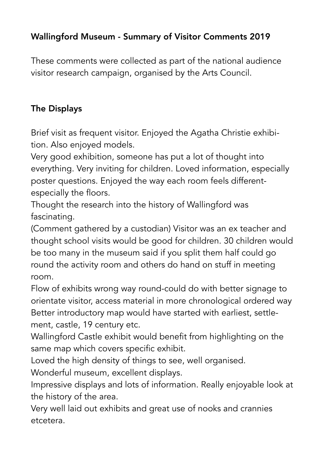## Wallingford Museum - Summary of Visitor Comments 2019

These comments were collected as part of the national audience visitor research campaign, organised by the Arts Council.

## The Displays

Brief visit as frequent visitor. Enjoyed the Agatha Christie exhibition. Also enjoyed models.

Very good exhibition, someone has put a lot of thought into everything. Very inviting for children. Loved information, especially poster questions. Enjoyed the way each room feels differentespecially the floors.

Thought the research into the history of Wallingford was fascinating.

(Comment gathered by a custodian) Visitor was an ex teacher and thought school visits would be good for children. 30 children would be too many in the museum said if you split them half could go round the activity room and others do hand on stuff in meeting room.

Flow of exhibits wrong way round-could do with better signage to orientate visitor, access material in more chronological ordered way Better introductory map would have started with earliest, settlement, castle, 19 century etc.

Wallingford Castle exhibit would benefit from highlighting on the same map which covers specific exhibit.

Loved the high density of things to see, well organised.

Wonderful museum, excellent displays.

Impressive displays and lots of information. Really enjoyable look at the history of the area.

Very well laid out exhibits and great use of nooks and crannies etcetera.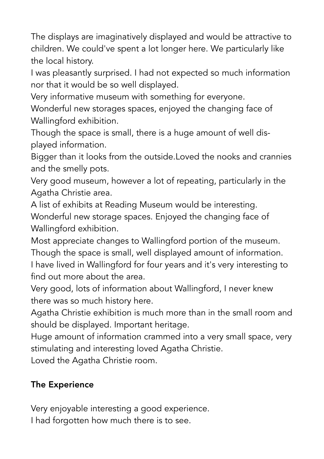The displays are imaginatively displayed and would be attractive to children. We could've spent a lot longer here. We particularly like the local history.

I was pleasantly surprised. I had not expected so much information nor that it would be so well displayed.

Very informative museum with something for everyone.

Wonderful new storages spaces, enjoyed the changing face of Wallingford exhibition.

Though the space is small, there is a huge amount of well displayed information.

Bigger than it looks from the outside.Loved the nooks and crannies and the smelly pots.

Very good museum, however a lot of repeating, particularly in the Agatha Christie area.

A list of exhibits at Reading Museum would be interesting.

Wonderful new storage spaces. Enjoyed the changing face of Wallingford exhibition.

Most appreciate changes to Wallingford portion of the museum. Though the space is small, well displayed amount of information.

I have lived in Wallingford for four years and it's very interesting to find out more about the area.

Very good, lots of information about Wallingford, I never knew there was so much history here.

Agatha Christie exhibition is much more than in the small room and should be displayed. Important heritage.

Huge amount of information crammed into a very small space, very stimulating and interesting loved Agatha Christie.

Loved the Agatha Christie room.

# The Experience

Very enjoyable interesting a good experience. I had forgotten how much there is to see.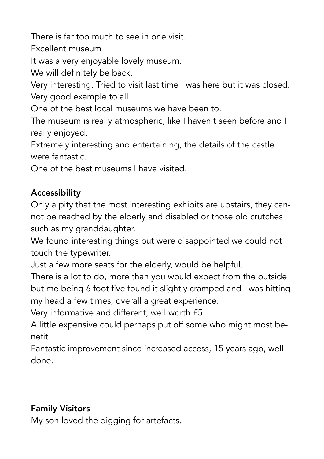There is far too much to see in one visit.

Excellent museum

It was a very enjoyable lovely museum.

We will definitely be back.

Very interesting. Tried to visit last time I was here but it was closed. Very good example to all

One of the best local museums we have been to.

The museum is really atmospheric, like I haven't seen before and I really enjoyed.

Extremely interesting and entertaining, the details of the castle were fantastic.

One of the best museums I have visited.

### Accessibility

Only a pity that the most interesting exhibits are upstairs, they cannot be reached by the elderly and disabled or those old crutches such as my granddaughter.

We found interesting things but were disappointed we could not touch the typewriter.

Just a few more seats for the elderly, would be helpful.

There is a lot to do, more than you would expect from the outside but me being 6 foot five found it slightly cramped and I was hitting my head a few times, overall a great experience.

Very informative and different, well worth £5

A little expensive could perhaps put off some who might most benefit

Fantastic improvement since increased access, 15 years ago, well done.

# Family Visitors

My son loved the digging for artefacts.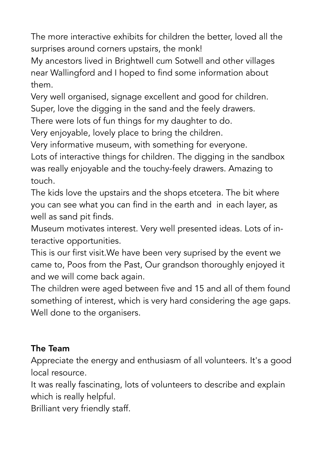The more interactive exhibits for children the better, loved all the surprises around corners upstairs, the monk!

My ancestors lived in Brightwell cum Sotwell and other villages near Wallingford and I hoped to find some information about them.

Very well organised, signage excellent and good for children. Super, love the digging in the sand and the feely drawers.

There were lots of fun things for my daughter to do.

Very enjoyable, lovely place to bring the children.

Very informative museum, with something for everyone.

Lots of interactive things for children. The digging in the sandbox was really enjoyable and the touchy-feely drawers. Amazing to touch.

The kids love the upstairs and the shops etcetera. The bit where you can see what you can find in the earth and in each layer, as well as sand pit finds.

Museum motivates interest. Very well presented ideas. Lots of interactive opportunities.

This is our first visit.We have been very suprised by the event we came to, Poos from the Past, Our grandson thoroughly enjoyed it and we will come back again.

The children were aged between five and 15 and all of them found something of interest, which is very hard considering the age gaps. Well done to the organisers.

### The Team

Appreciate the energy and enthusiasm of all volunteers. It's a good local resource.

It was really fascinating, lots of volunteers to describe and explain which is really helpful.

Brilliant very friendly staff.